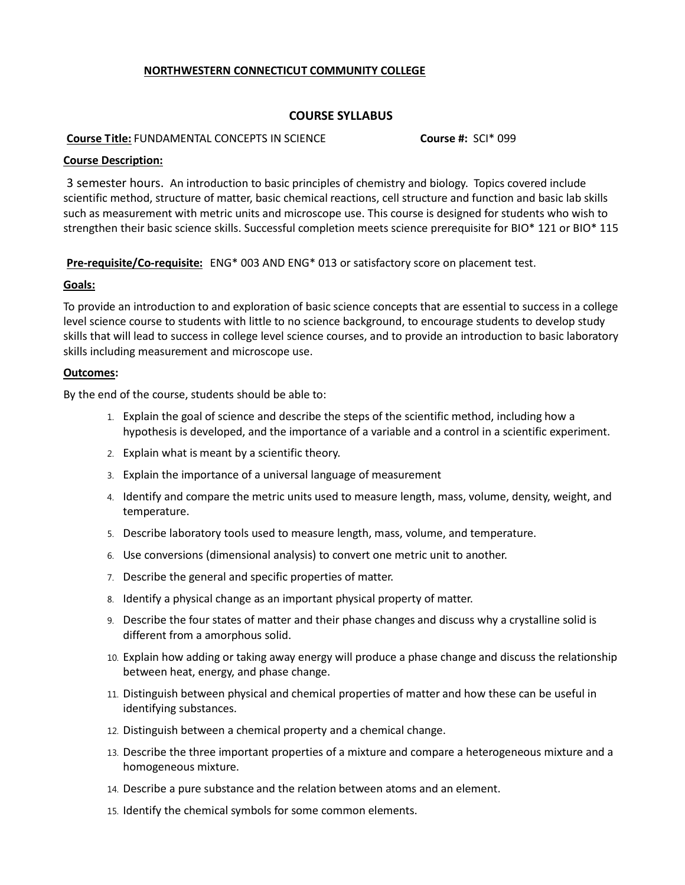# **NORTHWESTERN CONNECTICUT COMMUNITY COLLEGE**

## **COURSE SYLLABUS**

#### **Course Title:** FUNDAMENTAL CONCEPTS IN SCIENCE **Course #:** SCI\* 099

## **Course Description:**

3 semester hours. An introduction to basic principles of chemistry and biology. Topics covered include scientific method, structure of matter, basic chemical reactions, cell structure and function and basic lab skills such as measurement with metric units and microscope use. This course is designed for students who wish to strengthen their basic science skills. Successful completion meets science prerequisite for BIO\* 121 or BIO\* 115

**Pre-requisite/Co-requisite:** ENG\* 003 AND ENG\* 013 or satisfactory score on placement test.

## **Goals:**

To provide an introduction to and exploration of basic science concepts that are essential to success in a college level science course to students with little to no science background, to encourage students to develop study skills that will lead to success in college level science courses, and to provide an introduction to basic laboratory skills including measurement and microscope use.

## **Outcomes:**

By the end of the course, students should be able to:

- 1. Explain the goal of science and describe the steps of the scientific method, including how a hypothesis is developed, and the importance of a variable and a control in a scientific experiment.
- 2. Explain what is meant by a scientific theory.
- 3. Explain the importance of a universal language of measurement
- 4. Identify and compare the metric units used to measure length, mass, volume, density, weight, and temperature.
- 5. Describe laboratory tools used to measure length, mass, volume, and temperature.
- 6. Use conversions (dimensional analysis) to convert one metric unit to another.
- 7. Describe the general and specific properties of matter.
- 8. Identify a physical change as an important physical property of matter.
- 9. Describe the four states of matter and their phase changes and discuss why a crystalline solid is different from a amorphous solid.
- 10. Explain how adding or taking away energy will produce a phase change and discuss the relationship between heat, energy, and phase change.
- 11. Distinguish between physical and chemical properties of matter and how these can be useful in identifying substances.
- 12. Distinguish between a chemical property and a chemical change.
- 13. Describe the three important properties of a mixture and compare a heterogeneous mixture and a homogeneous mixture.
- 14. Describe a pure substance and the relation between atoms and an element.
- 15. Identify the chemical symbols for some common elements.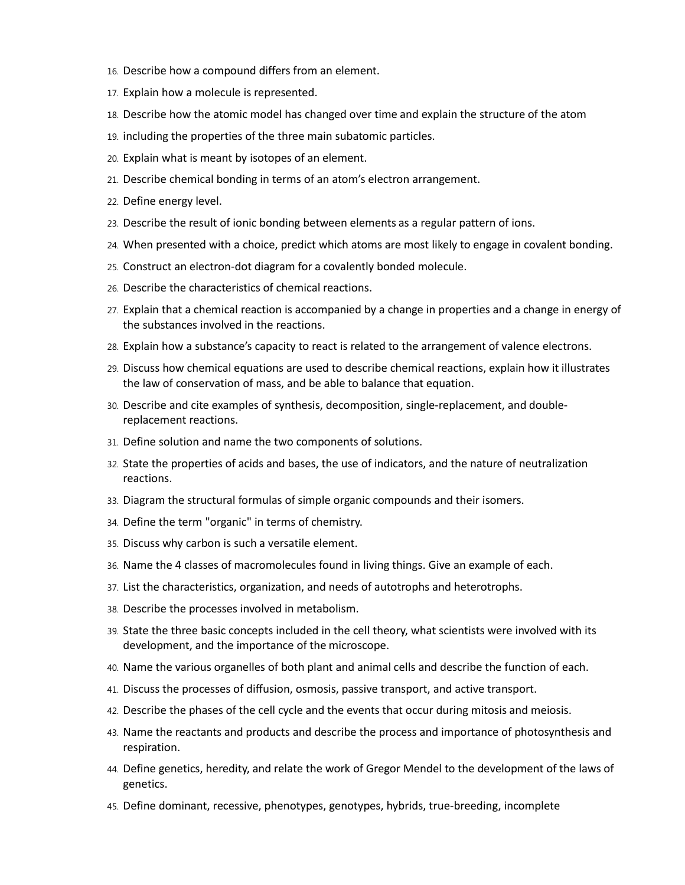- 16. Describe how a compound differs from an element.
- 17. Explain how a molecule is represented.
- 18. Describe how the atomic model has changed over time and explain the structure of the atom
- 19. including the properties of the three main subatomic particles.
- 20. Explain what is meant by isotopes of an element.
- 21. Describe chemical bonding in terms of an atom's electron arrangement.
- 22. Define energy level.
- 23. Describe the result of ionic bonding between elements as a regular pattern of ions.
- 24. When presented with a choice, predict which atoms are most likely to engage in covalent bonding.
- 25. Construct an electron-dot diagram for a covalently bonded molecule.
- 26. Describe the characteristics of chemical reactions.
- 27. Explain that a chemical reaction is accompanied by a change in properties and a change in energy of the substances involved in the reactions.
- 28. Explain how a substance's capacity to react is related to the arrangement of valence electrons.
- 29. Discuss how chemical equations are used to describe chemical reactions, explain how it illustrates the law of conservation of mass, and be able to balance that equation.
- 30. Describe and cite examples of synthesis, decomposition, single-replacement, and doublereplacement reactions.
- 31. Define solution and name the two components of solutions.
- 32. State the properties of acids and bases, the use of indicators, and the nature of neutralization reactions.
- 33. Diagram the structural formulas of simple organic compounds and their isomers.
- 34. Define the term "organic" in terms of chemistry.
- 35. Discuss why carbon is such a versatile element.
- 36. Name the 4 classes of macromolecules found in living things. Give an example of each.
- 37. List the characteristics, organization, and needs of autotrophs and heterotrophs.
- 38. Describe the processes involved in metabolism.
- 39. State the three basic concepts included in the cell theory, what scientists were involved with its development, and the importance of the microscope.
- 40. Name the various organelles of both plant and animal cells and describe the function of each.
- 41. Discuss the processes of diffusion, osmosis, passive transport, and active transport.
- 42. Describe the phases of the cell cycle and the events that occur during mitosis and meiosis.
- 43. Name the reactants and products and describe the process and importance of photosynthesis and respiration.
- 44. Define genetics, heredity, and relate the work of Gregor Mendel to the development of the laws of genetics.
- 45. Define dominant, recessive, phenotypes, genotypes, hybrids, true-breeding, incomplete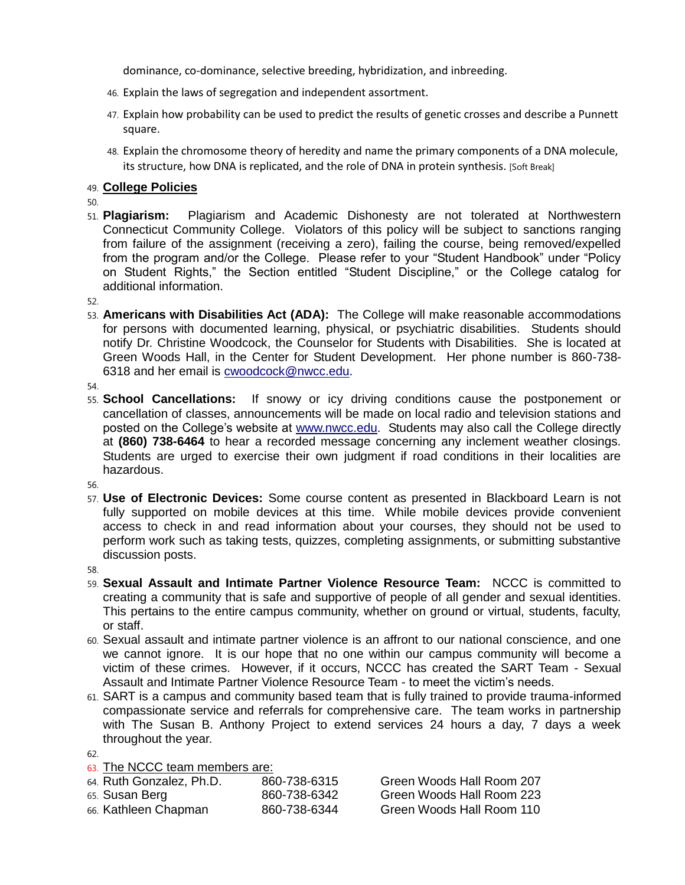dominance, co-dominance, selective breeding, hybridization, and inbreeding.

- 46. Explain the laws of segregation and independent assortment.
- 47. Explain how probability can be used to predict the results of genetic crosses and describe a Punnett square.
- 48. Explain the chromosome theory of heredity and name the primary components of a DNA molecule, its structure, how DNA is replicated, and the role of DNA in protein synthesis. [Soft Break]

# 49. **College Policies**

50.

51. **Plagiarism:** Plagiarism and Academic Dishonesty are not tolerated at Northwestern Connecticut Community College. Violators of this policy will be subject to sanctions ranging from failure of the assignment (receiving a zero), failing the course, being removed/expelled from the program and/or the College. Please refer to your "Student Handbook" under "Policy on Student Rights," the Section entitled "Student Discipline," or the College catalog for additional information.

52.

53. **Americans with Disabilities Act (ADA):** The College will make reasonable accommodations for persons with documented learning, physical, or psychiatric disabilities. Students should notify Dr. Christine Woodcock, the Counselor for Students with Disabilities. She is located at Green Woods Hall, in the Center for Student Development. Her phone number is 860-738- 6318 and her email is [cwoodcock@nwcc.edu.](mailto:cwoodcock@nwcc.edu)

54.

55. **School Cancellations:** If snowy or icy driving conditions cause the postponement or cancellation of classes, announcements will be made on local radio and television stations and posted on the College's website at [www.nwcc.edu.](http://www.nwcc.edu/) Students may also call the College directly at **(860) 738-6464** to hear a recorded message concerning any inclement weather closings. Students are urged to exercise their own judgment if road conditions in their localities are hazardous.

56.

57. **Use of Electronic Devices:** Some course content as presented in Blackboard Learn is not fully supported on mobile devices at this time. While mobile devices provide convenient access to check in and read information about your courses, they should not be used to perform work such as taking tests, quizzes, completing assignments, or submitting substantive discussion posts.

58.

- 59. **Sexual Assault and Intimate Partner Violence Resource Team:** NCCC is committed to creating a community that is safe and supportive of people of all gender and sexual identities. This pertains to the entire campus community, whether on ground or virtual, students, faculty, or staff.
- 60. Sexual assault and intimate partner violence is an affront to our national conscience, and one we cannot ignore. It is our hope that no one within our campus community will become a victim of these crimes. However, if it occurs, NCCC has created the SART Team - Sexual Assault and Intimate Partner Violence Resource Team - to meet the victim's needs.
- 61. SART is a campus and community based team that is fully trained to provide trauma-informed compassionate service and referrals for comprehensive care. The team works in partnership with The Susan B. Anthony Project to extend services 24 hours a day, 7 days a week throughout the year.

62.

# 63. The NCCC team members are:

| 64. Ruth Gonzalez, Ph.D. | 860-738-6315 | Green Woods Hall Room 207 |
|--------------------------|--------------|---------------------------|
| 65. Susan Berg           | 860-738-6342 | Green Woods Hall Room 223 |
| 66. Kathleen Chapman     | 860-738-6344 | Green Woods Hall Room 110 |